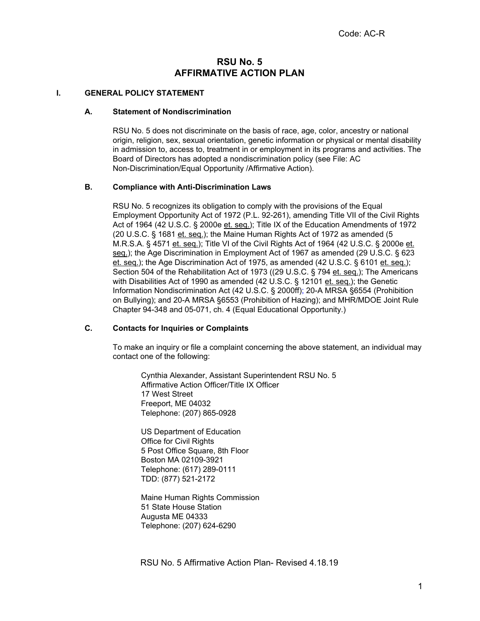# **RSU No. 5 AFFIRMATIVE ACTION PLAN**

#### **I. GENERAL POLICY STATEMENT**

#### **A. Statement of Nondiscrimination**

RSU No. 5 does not discriminate on the basis of race, age, color, ancestry or national origin, religion, sex, sexual orientation, genetic information or physical or mental disability in admission to, access to, treatment in or employment in its programs and activities. The Board of Directors has adopted a nondiscrimination policy (see File: AC Non-Discrimination/Equal Opportunity /Affirmative Action).

#### **B. Compliance with Anti-Discrimination Laws**

RSU No. 5 recognizes its obligation to comply with the provisions of the Equal Employment Opportunity Act of 1972 (P.L. 92-261), amending Title VII of the Civil Rights Act of 1964 (42 U.S.C. § 2000e et. seq.); Title IX of the Education Amendments of 1972 (20 U.S.C. § 1681 et. seq.); the Maine Human Rights Act of 1972 as amended (5 M.R.S.A. § 4571 et. seq.); Title VI of the Civil Rights Act of 1964 (42 U.S.C. § 2000e et. seq.); the Age Discrimination in Employment Act of 1967 as amended (29 U.S.C. § 623 et. seq.); the Age Discrimination Act of 1975, as amended (42 U.S.C. § 6101 et. seq.); Section 504 of the Rehabilitation Act of 1973 ((29 U.S.C. § 794 et. seq.); The Americans with Disabilities Act of 1990 as amended (42 U.S.C. § 12101 et. seq.); the Genetic Information Nondiscrimination Act (42 U.S.C. § 2000ff); 20-A MRSA §6554 (Prohibition on Bullying); and 20-A MRSA §6553 (Prohibition of Hazing); and MHR/MDOE Joint Rule Chapter 94-348 and 05-071, ch. 4 (Equal Educational Opportunity.)

#### **C. Contacts for Inquiries or Complaints**

To make an inquiry or file a complaint concerning the above statement, an individual may contact one of the following:

Cynthia Alexander, Assistant Superintendent RSU No. 5 Affirmative Action Officer/Title IX Officer 17 West Street Freeport, ME 04032 Telephone: (207) 865-0928

US Department of Education Office for Civil Rights 5 Post Office Square, 8th Floor Boston MA 02109-3921 Telephone: (617) 289-0111 TDD: (877) 521-2172

Maine Human Rights Commission 51 State House Station Augusta ME 04333 Telephone: (207) 624-6290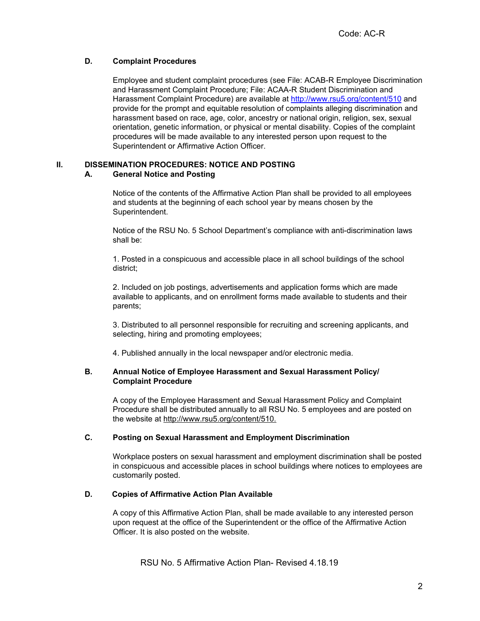## **D. Complaint Procedures**

Employee and student complaint procedures (see File: ACAB-R Employee Discrimination and Harassment Complaint Procedure; File: ACAA-R Student Discrimination and Harassment Complaint Procedure) are available a[t](http://www.rsu5.org/content/510) <http://www.rsu5.org/content/510> and provide for the prompt and equitable resolution of complaints alleging discrimination and harassment based on race, age, color, ancestry or national origin, religion, sex, sexual orientation, genetic information, or physical or mental disability. Copies of the complaint procedures will be made available to any interested person upon request to the Superintendent or Affirmative Action Officer.

## **II. DISSEMINATION PROCEDURES: NOTICE AND POSTING**

## **A. General Notice and Posting**

Notice of the contents of the Affirmative Action Plan shall be provided to all employees and students at the beginning of each school year by means chosen by the Superintendent.

Notice of the RSU No. 5 School Department's compliance with anti-discrimination laws shall be:

1. Posted in a conspicuous and accessible place in all school buildings of the school district;

2. Included on job postings, advertisements and application forms which are made available to applicants, and on enrollment forms made available to students and their parents;

3. Distributed to all personnel responsible for recruiting and screening applicants, and selecting, hiring and promoting employees;

4. Published annually in the local newspaper and/or electronic media.

## **B. Annual Notice of Employee Harassment and Sexual Harassment Policy/ Complaint Procedure**

A copy of the Employee Harassment and Sexual Harassment Policy and Complaint Procedure shall be distributed annually to all RSU No. 5 employees and are posted on the website at [http://www.rsu5.org/content/510.](http://www.rsu5.org/content/510)

## **C. Posting on Sexual Harassment and Employment Discrimination**

Workplace posters on sexual harassment and employment discrimination shall be posted in conspicuous and accessible places in school buildings where notices to employees are customarily posted.

## **D. Copies of Affirmative Action Plan Available**

A copy of this Affirmative Action Plan, shall be made available to any interested person upon request at the office of the Superintendent or the office of the Affirmative Action Officer. It is also posted on the website.

RSU No. 5 Affirmative Action Plan- Revised 4.18.19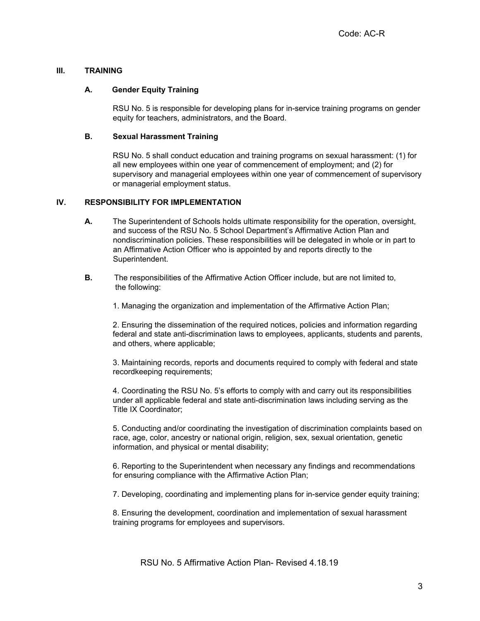### **III. TRAINING**

#### **A. Gender Equity Training**

RSU No. 5 is responsible for developing plans for in-service training programs on gender equity for teachers, administrators, and the Board.

### **B. Sexual Harassment Training**

RSU No. 5 shall conduct education and training programs on sexual harassment: (1) for all new employees within one year of commencement of employment; and (2) for supervisory and managerial employees within one year of commencement of supervisory or managerial employment status.

## **IV. RESPONSIBILITY FOR IMPLEMENTATION**

- **A.** The Superintendent of Schools holds ultimate responsibility for the operation, oversight, and success of the RSU No. 5 School Department's Affirmative Action Plan and nondiscrimination policies. These responsibilities will be delegated in whole or in part to an Affirmative Action Officer who is appointed by and reports directly to the Superintendent.
- **B.** The responsibilities of the Affirmative Action Officer include, but are not limited to, the following:
	- 1. Managing the organization and implementation of the Affirmative Action Plan;

2. Ensuring the dissemination of the required notices, policies and information regarding federal and state anti-discrimination laws to employees, applicants, students and parents, and others, where applicable;

3. Maintaining records, reports and documents required to comply with federal and state recordkeeping requirements;

4. Coordinating the RSU No. 5's efforts to comply with and carry out its responsibilities under all applicable federal and state anti-discrimination laws including serving as the Title IX Coordinator;

5. Conducting and/or coordinating the investigation of discrimination complaints based on race, age, color, ancestry or national origin, religion, sex, sexual orientation, genetic information, and physical or mental disability;

6. Reporting to the Superintendent when necessary any findings and recommendations for ensuring compliance with the Affirmative Action Plan;

7. Developing, coordinating and implementing plans for in-service gender equity training;

8. Ensuring the development, coordination and implementation of sexual harassment training programs for employees and supervisors.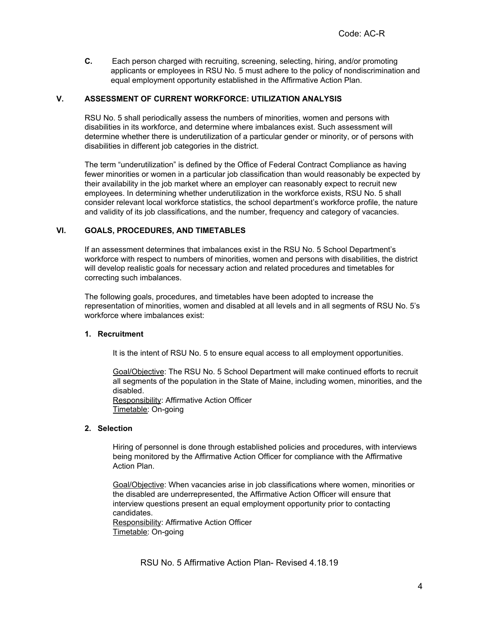**C.** Each person charged with recruiting, screening, selecting, hiring, and/or promoting applicants or employees in RSU No. 5 must adhere to the policy of nondiscrimination and equal employment opportunity established in the Affirmative Action Plan.

#### **V. ASSESSMENT OF CURRENT WORKFORCE: UTILIZATION ANALYSIS**

RSU No. 5 shall periodically assess the numbers of minorities, women and persons with disabilities in its workforce, and determine where imbalances exist. Such assessment will determine whether there is underutilization of a particular gender or minority, or of persons with disabilities in different job categories in the district.

The term "underutilization" is defined by the Office of Federal Contract Compliance as having fewer minorities or women in a particular job classification than would reasonably be expected by their availability in the job market where an employer can reasonably expect to recruit new employees. In determining whether underutilization in the workforce exists, RSU No. 5 shall consider relevant local workforce statistics, the school department's workforce profile, the nature and validity of its job classifications, and the number, frequency and category of vacancies.

#### **VI. GOALS, PROCEDURES, AND TIMETABLES**

If an assessment determines that imbalances exist in the RSU No. 5 School Department's workforce with respect to numbers of minorities, women and persons with disabilities, the district will develop realistic goals for necessary action and related procedures and timetables for correcting such imbalances.

The following goals, procedures, and timetables have been adopted to increase the representation of minorities, women and disabled at all levels and in all segments of RSU No. 5's workforce where imbalances exist:

#### **1. Recruitment**

It is the intent of RSU No. 5 to ensure equal access to all employment opportunities.

Goal/Objective: The RSU No. 5 School Department will make continued efforts to recruit all segments of the population in the State of Maine, including women, minorities, and the disabled.

Responsibility: Affirmative Action Officer Timetable: On-going

#### **2. Selection**

Hiring of personnel is done through established policies and procedures, with interviews being monitored by the Affirmative Action Officer for compliance with the Affirmative Action Plan.

Goal/Objective: When vacancies arise in job classifications where women, minorities or the disabled are underrepresented, the Affirmative Action Officer will ensure that interview questions present an equal employment opportunity prior to contacting candidates.

Responsibility: Affirmative Action Officer Timetable: On-going